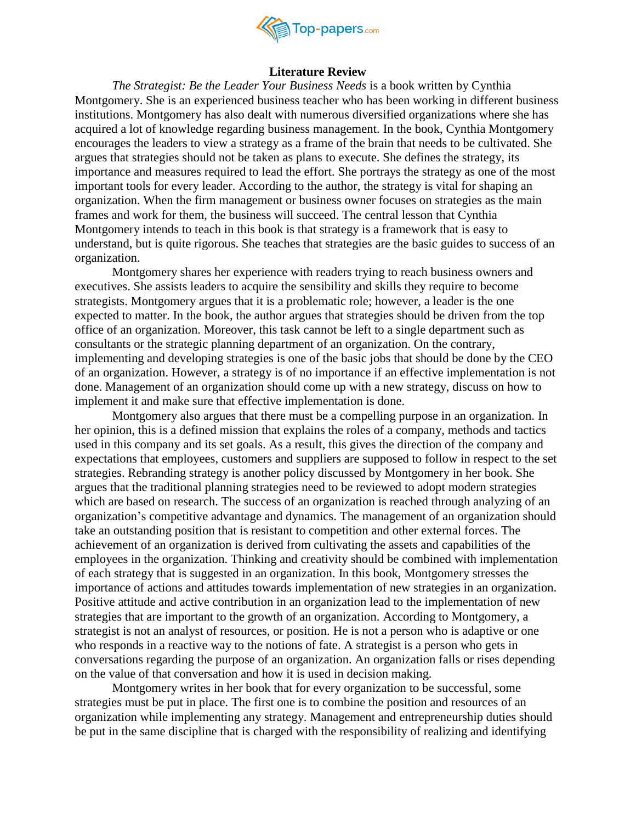

## **Literature Review**

*The Strategist: Be the Leader Your Business Needs* is a book written by Cynthia Montgomery. She is an experienced business teacher who has been working in different business institutions. Montgomery has also dealt with numerous diversified organizations where she has acquired a lot of knowledge regarding business management. In the book, Cynthia Montgomery encourages the leaders to view a strategy as a frame of the brain that needs to be cultivated. She argues that strategies should not be taken as plans to execute. She defines the strategy, its importance and measures required to lead the effort. She portrays the strategy as one of the most important tools for every leader. According to the author, the strategy is vital for shaping an organization. When the firm management or business owner focuses on strategies as the main frames and work for them, the business will succeed. The central lesson that Cynthia Montgomery intends to teach in this book is that strategy is a framework that is easy to understand, but is quite rigorous. She teaches that strategies are the basic guides to success of an organization.

Montgomery shares her experience with readers trying to reach business owners and executives. She assists leaders to acquire the sensibility and skills they require to become strategists. Montgomery argues that it is a problematic role; however, a leader is the one expected to matter. In the book, the author argues that strategies should be driven from the top office of an organization. Moreover, this task cannot be left to a single department such as consultants or the strategic planning department of an organization. On the contrary, implementing and developing strategies is one of the basic jobs that should be done by the CEO of an organization. However, a strategy is of no importance if an effective implementation is not done. Management of an organization should come up with a new strategy, discuss on how to implement it and make sure that effective implementation is done.

Montgomery also argues that there must be a compelling purpose in an organization. In her opinion, this is a defined mission that explains the roles of a company, methods and tactics used in this company and its set goals. As a result, this gives the direction of the company and expectations that employees, customers and suppliers are supposed to follow in respect to the set strategies. Rebranding strategy is another policy discussed by Montgomery in her book. She argues that the traditional planning strategies need to be reviewed to adopt modern strategies which are based on research. The success of an organization is reached through analyzing of an organization's competitive advantage and dynamics. The management of an organization should take an outstanding position that is resistant to competition and other external forces. The achievement of an organization is derived from cultivating the assets and capabilities of the employees in the organization. Thinking and creativity should be combined with implementation of each strategy that is suggested in an organization. In this book, Montgomery stresses the importance of actions and attitudes towards implementation of new strategies in an organization. Positive attitude and active contribution in an organization lead to the implementation of new strategies that are important to the growth of an organization. According to Montgomery, a strategist is not an analyst of resources, or position. He is not a person who is adaptive or one who responds in a reactive way to the notions of fate. A strategist is a person who gets in conversations regarding the purpose of an organization. An organization falls or rises depending on the value of that conversation and how it is used in decision making.

Montgomery writes in her book that for every organization to be successful, some strategies must be put in place. The first one is to combine the position and resources of an organization while implementing any strategy. Management and entrepreneurship duties should be put in the same discipline that is charged with the responsibility of realizing and identifying